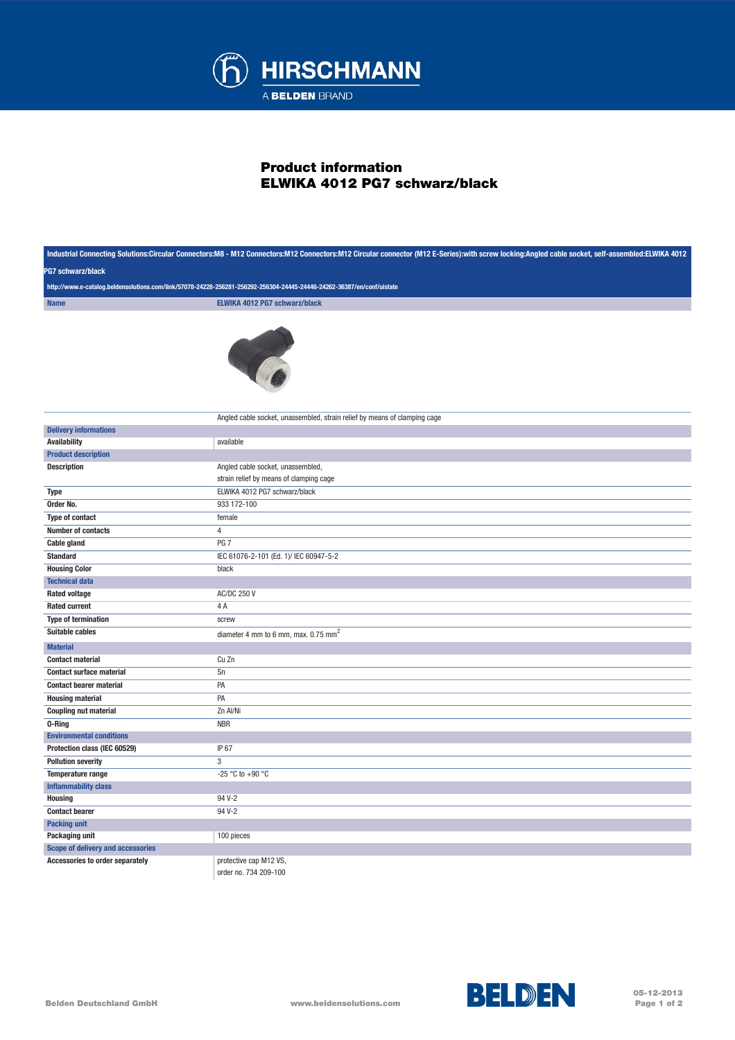

## Product information ELWIKA 4012 PG7 schwarz/black

| Industrial Connecting Solutions:Circular Connectors:M8 - M12 Connectors:M12 Connectors:M12 Circular connector (M12 E-Series):with screw locking:Angled cable socket, self-assembled:ELWIKA 4012<br><b>PG7 schwarz/black</b><br>http://www.e-catalog.beldensolutions.com/link/57078-24228-256281-256292-256304-24445-24446-24262-36387/en/conf/uistate |                                                                           |             |                               |
|-------------------------------------------------------------------------------------------------------------------------------------------------------------------------------------------------------------------------------------------------------------------------------------------------------------------------------------------------------|---------------------------------------------------------------------------|-------------|-------------------------------|
|                                                                                                                                                                                                                                                                                                                                                       |                                                                           | <b>Name</b> | ELWIKA 4012 PG7 schwarz/black |
|                                                                                                                                                                                                                                                                                                                                                       |                                                                           |             |                               |
|                                                                                                                                                                                                                                                                                                                                                       |                                                                           |             |                               |
|                                                                                                                                                                                                                                                                                                                                                       |                                                                           |             |                               |
|                                                                                                                                                                                                                                                                                                                                                       |                                                                           |             |                               |
|                                                                                                                                                                                                                                                                                                                                                       |                                                                           |             |                               |
|                                                                                                                                                                                                                                                                                                                                                       |                                                                           |             |                               |
|                                                                                                                                                                                                                                                                                                                                                       |                                                                           |             |                               |
|                                                                                                                                                                                                                                                                                                                                                       | Angled cable socket, unassembled, strain relief by means of clamping cage |             |                               |
| <b>Delivery informations</b>                                                                                                                                                                                                                                                                                                                          |                                                                           |             |                               |
| <b>Availability</b>                                                                                                                                                                                                                                                                                                                                   | available                                                                 |             |                               |
| <b>Product description</b>                                                                                                                                                                                                                                                                                                                            |                                                                           |             |                               |
| <b>Description</b>                                                                                                                                                                                                                                                                                                                                    | Angled cable socket, unassembled,                                         |             |                               |
|                                                                                                                                                                                                                                                                                                                                                       | strain relief by means of clamping cage                                   |             |                               |
| <b>Type</b>                                                                                                                                                                                                                                                                                                                                           | ELWIKA 4012 PG7 schwarz/black                                             |             |                               |
| Order No.                                                                                                                                                                                                                                                                                                                                             | 933 172-100                                                               |             |                               |
| Type of contact                                                                                                                                                                                                                                                                                                                                       | female                                                                    |             |                               |
| Number of contacts                                                                                                                                                                                                                                                                                                                                    | $\overline{4}$                                                            |             |                               |
| Cable gland                                                                                                                                                                                                                                                                                                                                           | PG <sub>7</sub>                                                           |             |                               |
| <b>Standard</b>                                                                                                                                                                                                                                                                                                                                       | IEC 61076-2-101 (Ed. 1)/ IEC 60947-5-2                                    |             |                               |
| <b>Housing Color</b>                                                                                                                                                                                                                                                                                                                                  | black                                                                     |             |                               |
| <b>Technical data</b>                                                                                                                                                                                                                                                                                                                                 |                                                                           |             |                               |
| <b>Rated voltage</b>                                                                                                                                                                                                                                                                                                                                  | <b>AC/DC 250 V</b>                                                        |             |                               |
| <b>Rated current</b>                                                                                                                                                                                                                                                                                                                                  | 4A                                                                        |             |                               |
| <b>Type of termination</b>                                                                                                                                                                                                                                                                                                                            | screw                                                                     |             |                               |
| <b>Suitable cables</b>                                                                                                                                                                                                                                                                                                                                | diameter 4 mm to 6 mm, max. 0.75 mm <sup>2</sup>                          |             |                               |
| <b>Material</b>                                                                                                                                                                                                                                                                                                                                       |                                                                           |             |                               |
| <b>Contact material</b>                                                                                                                                                                                                                                                                                                                               | Cu Zn                                                                     |             |                               |
| <b>Contact surface material</b>                                                                                                                                                                                                                                                                                                                       | Sn                                                                        |             |                               |
| <b>Contact bearer material</b>                                                                                                                                                                                                                                                                                                                        | PA                                                                        |             |                               |
| <b>Housing material</b>                                                                                                                                                                                                                                                                                                                               | PA                                                                        |             |                               |
| <b>Coupling nut material</b>                                                                                                                                                                                                                                                                                                                          | Zn Al/Ni                                                                  |             |                               |
| 0-Ring                                                                                                                                                                                                                                                                                                                                                | <b>NBR</b>                                                                |             |                               |
| <b>Environmental conditions</b>                                                                                                                                                                                                                                                                                                                       |                                                                           |             |                               |
| Protection class (IEC 60529)                                                                                                                                                                                                                                                                                                                          | IP 67                                                                     |             |                               |
| <b>Pollution severity</b>                                                                                                                                                                                                                                                                                                                             | 3                                                                         |             |                               |
| Temperature range                                                                                                                                                                                                                                                                                                                                     | -25 °C to +90 °C                                                          |             |                               |
| <b>Inflammability class</b>                                                                                                                                                                                                                                                                                                                           |                                                                           |             |                               |
| <b>Housing</b>                                                                                                                                                                                                                                                                                                                                        | 94 V-2                                                                    |             |                               |
| <b>Contact bearer</b>                                                                                                                                                                                                                                                                                                                                 | 94 V-2                                                                    |             |                               |
| <b>Packing unit</b>                                                                                                                                                                                                                                                                                                                                   |                                                                           |             |                               |
| Packaging unit                                                                                                                                                                                                                                                                                                                                        | 100 pieces                                                                |             |                               |
| <b>Scope of delivery and accessories</b>                                                                                                                                                                                                                                                                                                              |                                                                           |             |                               |
| Accessories to order separately                                                                                                                                                                                                                                                                                                                       | protective cap M12 VS.                                                    |             |                               |
|                                                                                                                                                                                                                                                                                                                                                       | order no. 734 209-100                                                     |             |                               |